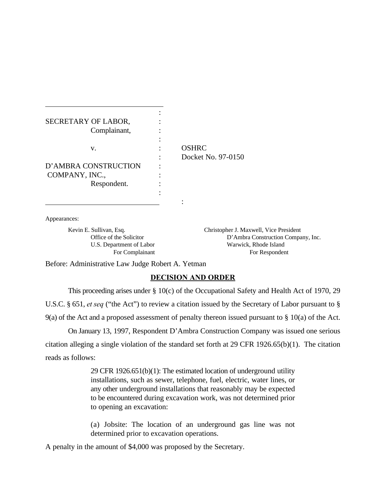| SECRETARY OF LABOR,  |                    |
|----------------------|--------------------|
| Complainant,<br>v.   |                    |
|                      | <b>OSHRC</b>       |
|                      | Docket No. 97-0150 |
| D'AMBRA CONSTRUCTION |                    |
| COMPANY, INC.,       |                    |
| Respondent.          |                    |
|                      |                    |
|                      |                    |

Appearances:

 $\overline{a}$ 

Kevin E. Sullivan, Esq. Christopher J. Maxwell, Vice President Office of the Solicitor **D'Ambra Construction Company**, Inc. U.S. Department of Labor Warwick, Rhode Island For Complainant For Respondent

Before: Administrative Law Judge Robert A. Yetman

## **DECISION AND ORDER**

This proceeding arises under § 10(c) of the Occupational Safety and Health Act of 1970, 29 U.S.C. § 651, *et seq* ("the Act") to review a citation issued by the Secretary of Labor pursuant to § 9(a) of the Act and a proposed assessment of penalty thereon issued pursuant to § 10(a) of the Act.

On January 13, 1997, Respondent D'Ambra Construction Company was issued one serious citation alleging a single violation of the standard set forth at 29 CFR 1926.65(b)(1). The citation reads as follows:

> 29 CFR 1926.651(b)(1): The estimated location of underground utility installations, such as sewer, telephone, fuel, electric, water lines, or any other underground installations that reasonably may be expected to be encountered during excavation work, was not determined prior to opening an excavation:

> (a) Jobsite: The location of an underground gas line was not determined prior to excavation operations.

A penalty in the amount of \$4,000 was proposed by the Secretary.